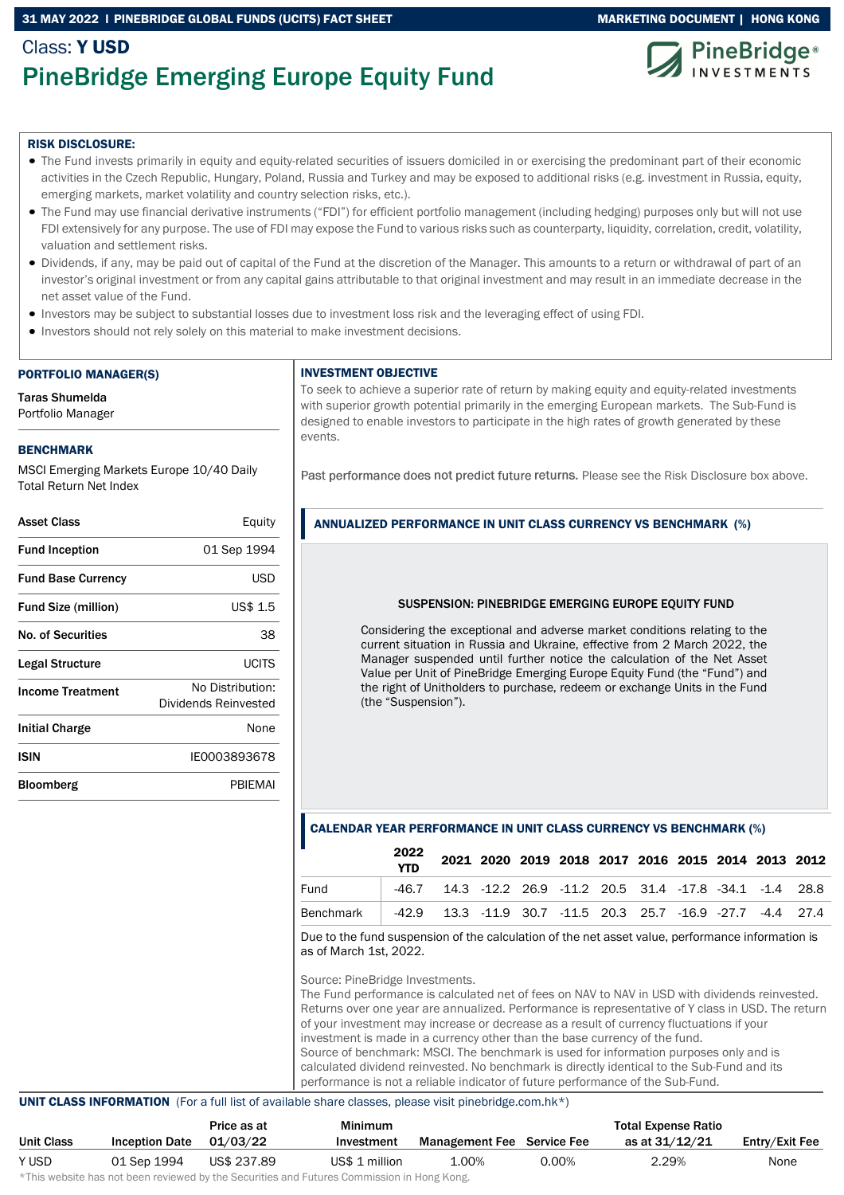#### 31 MAY 2022 I PINEBRIDGE GLOBAL FUNDS (UCITS) FACT SHEET MARKETING DOCUMENT | HONG KONG

## Class: Y USD PineBridge Emerging Europe Equity Fund



#### RISK DISCLOSURE:

- The Fund invests primarily in equity and equity-related securities of issuers domiciled in or exercising the predominant part of their economic activities in the Czech Republic, Hungary, Poland, Russia and Turkey and may be exposed to additional risks (e.g. investment in Russia, equity, emerging markets, market volatility and country selection risks, etc.).
- The Fund may use financial derivative instruments ("FDI") for efficient portfolio management (including hedging) purposes only but will not use FDI extensively for any purpose. The use of FDI may expose the Fund to various risks such as counterparty, liquidity, correlation, credit, volatility, valuation and settlement risks.
- Dividends, if any, may be paid out of capital of the Fund at the discretion of the Manager. This amounts to a return or withdrawal of part of an investor's original investment or from any capital gains attributable to that original investment and may result in an immediate decrease in the net asset value of the Fund.
- Investors may be subject to substantial losses due to investment loss risk and the leveraging effect of using FDI.
- Investors should not rely solely on this material to make investment decisions.

#### PORTFOLIO MANAGER(S)

Taras Shumelda Portfolio Manager

#### BENCHMARK

MSCI Emerging Markets Europe 10/40 Daily Total Return Net Index

| Equity                                   |
|------------------------------------------|
| 01 Sep 1994                              |
| USD                                      |
| US\$ 1.5                                 |
| 38                                       |
| LICITS                                   |
| No Distribution:<br>Dividends Reinvested |
| None                                     |
| IE0003893678                             |
| PRIFMAI                                  |
|                                          |

#### INVESTMENT OBJECTIVE

To seek to achieve a superior rate of return by making equity and equity-related investments with superior growth potential primarily in the emerging European markets. The Sub-Fund is designed to enable investors to participate in the high rates of growth generated by these events.

Past performance does not predict future returns. Please see the Risk Disclosure box above.

#### ANNUALIZED PERFORMANCE IN UNIT CLASS CURRENCY VS BENCHMARK (%)

#### SUSPENSION: PINEBRIDGE EMERGING EUROPE EQUITY FUND

Considering the exceptional and adverse market conditions relating to the current situation in Russia and Ukraine, effective from 2 March 2022, the Manager suspended until further notice the calculation of the Net Asset Value per Unit of PineBridge Emerging Europe Equity Fund (the "Fund") and the right of Unitholders to purchase, redeem or exchange Units in the Fund (the "Suspension").

#### CALENDAR YEAR PERFORMANCE IN UNIT CLASS CURRENCY VS BENCHMARK (%)

|           | 2022<br><b>YTD</b> |                                                                         |  |  |  |  | 2021 2020 2019 2018 2017 2016 2015 2014 2013 2012 |
|-----------|--------------------|-------------------------------------------------------------------------|--|--|--|--|---------------------------------------------------|
| Fund      |                    | $-46.7$ 14.3 $-12.2$ 26.9 $-11.2$ 20.5 31.4 $-17.8$ $-34.1$ $-1.4$ 28.8 |  |  |  |  |                                                   |
| Benchmark |                    | -42.9 13.3 -11.9 30.7 -11.5 20.3 25.7 -16.9 -27.7 -4.4 27.4             |  |  |  |  |                                                   |

Due to the fund suspension of the calculation of the net asset value, performance information is as of March 1st, 2022.

Source: PineBridge Investments.

The Fund performance is calculated net of fees on NAV to NAV in USD with dividends reinvested. Returns over one year are annualized. Performance is representative of Y class in USD. The return of your investment may increase or decrease as a result of currency fluctuations if your investment is made in a currency other than the base currency of the fund. Source of benchmark: MSCI. The benchmark is used for information purposes only and is calculated dividend reinvested. No benchmark is directly identical to the Sub-Fund and its performance is not a reliable indicator of future performance of the Sub-Fund.

#### UNIT CLASS INFORMATION (For a full list of available share classes, please visit pinebridge.com.hk\*)

|            |                       | Price as at | Minimum                                                                    |                                   |          | <b>Total Expense Ratio</b> |                |
|------------|-----------------------|-------------|----------------------------------------------------------------------------|-----------------------------------|----------|----------------------------|----------------|
| Unit Class | <b>Inception Date</b> | 01/03/22    | Investment                                                                 | <b>Management Fee</b> Service Fee |          | as at 31/12/21             | Entry/Exit Fee |
| Y USD      | 01 Sep 1994           | US\$ 237.89 | US\$ 1 million                                                             | 1.00%                             | $0.00\%$ | 2.29%                      | None           |
|            |                       |             | 北美した こうしんりょうしょう しょうしょう こうしょう しょうしょう あいこう ひとう こうし 目立てる こうこうかい とうきん しょうほうしょう |                                   |          |                            |                |

\*This website has not been reviewed by the Securities and Futures Commission in Hong Kong.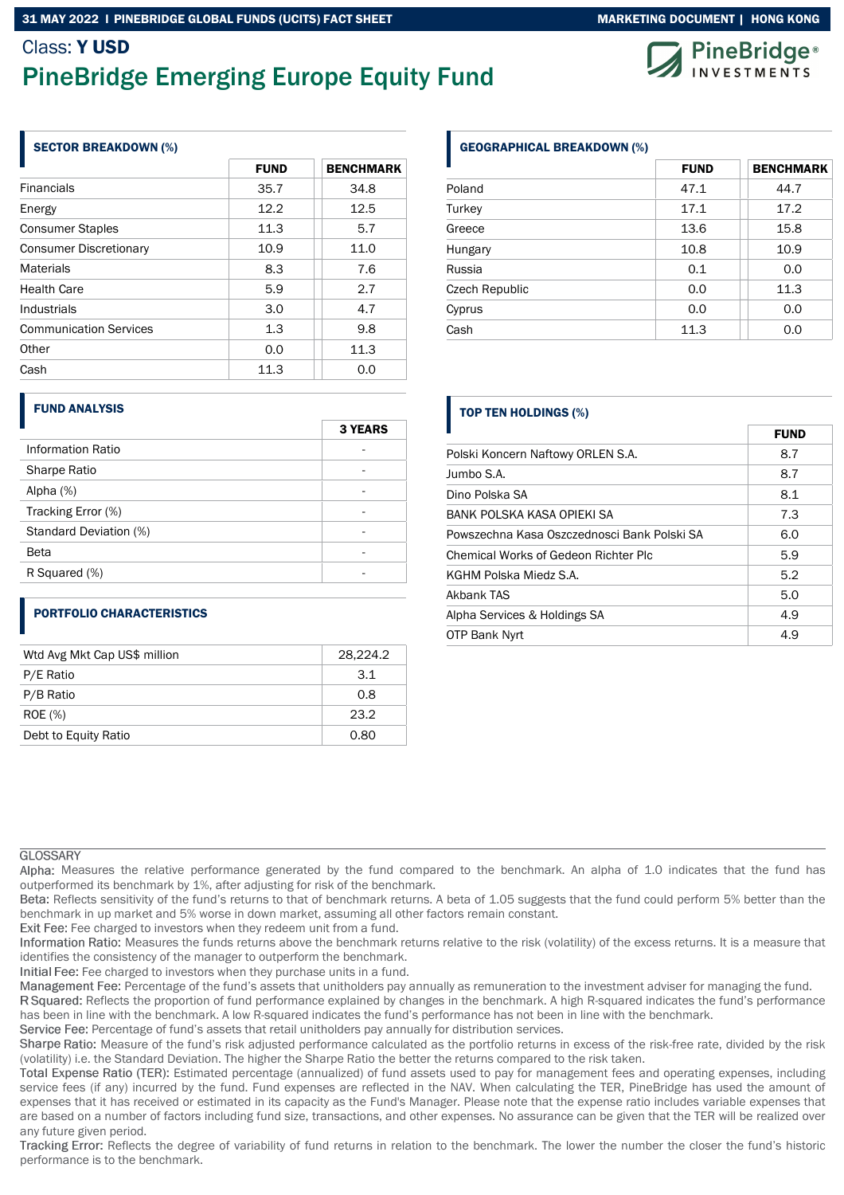## Class: Y USD PineBridge Emerging Europe Equity Fund



#### SECTOR BREAKDOWN (%)

|                               | <b>FUND</b> | <b>BENCHMARK</b> |
|-------------------------------|-------------|------------------|
| <b>Financials</b>             | 35.7        | 34.8             |
| Energy                        | 12.2        | 12.5             |
| <b>Consumer Staples</b>       | 11.3        | 5.7              |
| <b>Consumer Discretionary</b> | 10.9        | 11.0             |
| <b>Materials</b>              | 8.3         | 7.6              |
| <b>Health Care</b>            | 5.9         | 2.7              |
| Industrials                   | 3.0         | 4.7              |
| <b>Communication Services</b> | 1.3         | 9.8              |
| Other                         | 0.0         | 11.3             |
| Cash                          | 11.3        | 0.0              |

#### GEOGRAPHICAL BREAKDOWN (%)

|                | <b>FUND</b> | <b>BENCHMARK</b> |
|----------------|-------------|------------------|
| Poland         | 47.1        | 44.7             |
| Turkey         | 17.1        | 17.2             |
| Greece         | 13.6        | 15.8             |
| Hungary        | 10.8        | 10.9             |
| Russia         | 0.1         | 0.0              |
| Czech Republic | 0.0         | 11.3             |
| Cyprus         | 0.0         | 0.0              |
| Cash           | 11.3        | 0.0              |

#### FUND ANALYSIS

|                        | <b>3 YEARS</b> |
|------------------------|----------------|
| Information Ratio      |                |
| Sharpe Ratio           |                |
| Alpha $(%)$            |                |
| Tracking Error (%)     |                |
| Standard Deviation (%) |                |
| Beta                   |                |
| R Squared (%)          |                |

#### PORTFOLIO CHARACTERISTICS

| Wtd Avg Mkt Cap US\$ million | 28.224.2 |
|------------------------------|----------|
| P/E Ratio                    | 3.1      |
| P/B Ratio                    | 0.8      |
| <b>ROE</b> (%)               | 23.2     |
| Debt to Equity Ratio         | 0.80     |

#### TOP TEN HOLDINGS (%)

|                                             | <b>FUND</b> |
|---------------------------------------------|-------------|
| Polski Koncern Naftowy ORLEN S.A.           | 8.7         |
| Jumbo S.A.                                  | 8.7         |
| Dino Polska SA                              | 8.1         |
| BANK POLSKA KASA OPIEKLSA                   | 7.3         |
| Powszechna Kasa Oszczednosci Bank Polski SA | 6.0         |
| Chemical Works of Gedeon Richter Plc        | 5.9         |
| KGHM Polska Miedz S.A.                      | 5.2         |
| Akbank TAS                                  | 5.0         |
| Alpha Services & Holdings SA                | 4.9         |
| OTP Bank Nyrt                               | 4.9         |

#### **GLOSSARY**

Alpha: Measures the relative performance generated by the fund compared to the benchmark. An alpha of 1.0 indicates that the fund has outperformed its benchmark by 1%, after adjusting for risk of the benchmark.

Beta: Reflects sensitivity of the fund's returns to that of benchmark returns. A beta of 1.05 suggests that the fund could perform 5% better than the benchmark in up market and 5% worse in down market, assuming all other factors remain constant.

Exit Fee: Fee charged to investors when they redeem unit from a fund.

Information Ratio: Measures the funds returns above the benchmark returns relative to the risk (volatility) of the excess returns. It is a measure that identifies the consistency of the manager to outperform the benchmark.

Initial Fee: Fee charged to investors when they purchase units in a fund.

Management Fee: Percentage of the fund's assets that unitholders pay annually as remuneration to the investment adviser for managing the fund.

R Squared: Reflects the proportion of fund performance explained by changes in the benchmark. A high R-squared indicates the fund's performance has been in line with the benchmark. A low R-squared indicates the fund's performance has not been in line with the benchmark.

Service Fee: Percentage of fund's assets that retail unitholders pay annually for distribution services.

Sharpe Ratio: Measure of the fund's risk adjusted performance calculated as the portfolio returns in excess of the risk-free rate, divided by the risk (volatility) i.e. the Standard Deviation. The higher the Sharpe Ratio the better the returns compared to the risk taken.

Total Expense Ratio (TER): Estimated percentage (annualized) of fund assets used to pay for management fees and operating expenses, including service fees (if any) incurred by the fund. Fund expenses are reflected in the NAV. When calculating the TER, PineBridge has used the amount of expenses that it has received or estimated in its capacity as the Fund's Manager. Please note that the expense ratio includes variable expenses that are based on a number of factors including fund size, transactions, and other expenses. No assurance can be given that the TER will be realized over any future given period.

Tracking Error: Reflects the degree of variability of fund returns in relation to the benchmark. The lower the number the closer the fund's historic performance is to the benchmark.